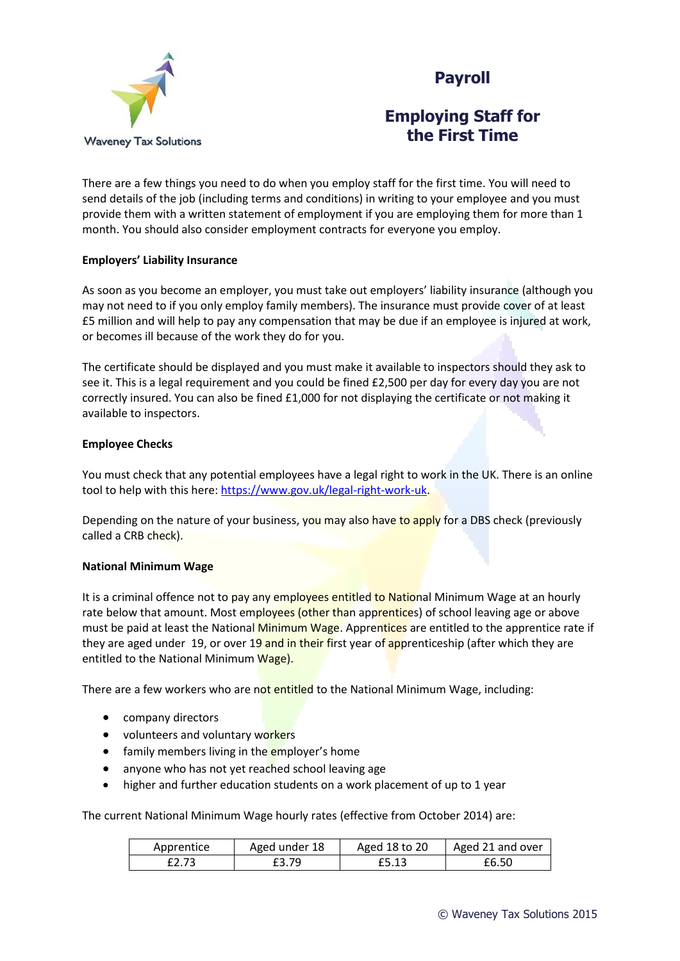



## **Employing Staff for the First Time**

There are a few things you need to do when you employ staff for the first time. You will need to send details of the job (including terms and conditions) in writing to your employee and you must provide them with a written statement of employment if you are employing them for more than 1 month. You should also consider employment contracts for everyone you employ.

## **Employers' Liability Insurance**

As soon as you become an employer, you must take out employers' liability insurance (although you may not need to if you only employ family members). The insurance must provide cover of at least £5 million and will help to pay any compensation that may be due if an employee is injured at work, or becomes ill because of the work they do for you.

The certificate should be displayed and you must make it available to inspectors should they ask to see it. This is a legal requirement and you could be fined £2,500 per day for every day you are not correctly insured. You can also be fined £1,000 for not displaying the certificate or not making it available to inspectors.

## **Employee Checks**

You must check that any potential employees have a legal right to work in the UK. There is an online tool to help with this here[: https://www.gov.uk/legal-right-work-uk.](https://www.gov.uk/legal-right-work-uk)

Depending on the nature of your business, you may also have to apply for a DBS check (previously called a CRB check).

### **National Minimum Wage**

It is a criminal offence not to pay any employees entitled to National Minimum Wage at an hourly rate below that amount. Most employees (other than apprentices) of school leaving age or above must be paid at least the National Minimum Wage. Apprentices are entitled to the apprentice rate if they are aged under 19, or over 19 and in their first year of apprenticeship (after which they are entitled to the National Minimum Wage).

There are a few workers who are not entitled to the National Minimum Wage, including:

- company directors
- volunteers and voluntary workers
- family members living in the employer's home
- anyone who has not yet reached school leaving age
- higher and further education students on a work placement of up to 1 year

The current National Minimum Wage hourly rates (effective from October 2014) are:

| Apprentice | Aged under 18 | Aged 18 to 20 | Aged 21 and over |
|------------|---------------|---------------|------------------|
| £2.73      | £3.79         | £5.13         | £6.50            |